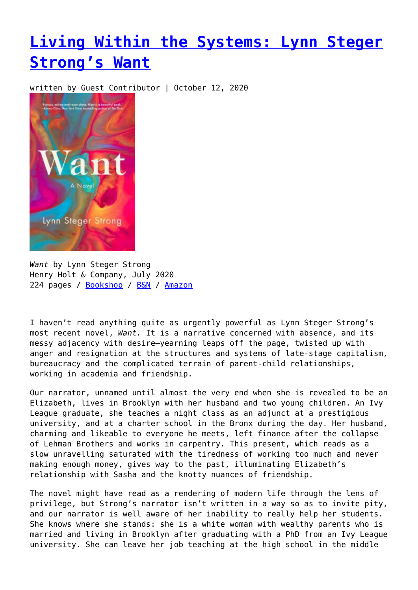## **[Living Within the Systems: Lynn Steger](https://entropymag.org/lynn-steger-strong-want/) [Strong's Want](https://entropymag.org/lynn-steger-strong-want/)**

written by Guest Contributor | October 12, 2020



*Want* by Lynn Steger Strong Henry Holt & Company, July 2020 224 pages / [Bookshop](https://bookshop.org/books/want-b706a38c-0899-40e8-a836-ffbd11bfceac/9781250247544?aid=3601) / [B&N](https://www.barnesandnoble.com/w/want-lynn-steger-strong/1133011636) / [Amazon](https://amzn.to/3diS4Fy)

I haven't read anything quite as urgently powerful as Lynn Steger Strong's most recent novel, *Want.* It is a narrative concerned with absence, and its messy adjacency with desire—yearning leaps off the page, twisted up with anger and resignation at the structures and systems of late-stage capitalism, bureaucracy and the complicated terrain of parent-child relationships, working in academia and friendship.

Our narrator, unnamed until almost the very end when she is revealed to be an Elizabeth, lives in Brooklyn with her husband and two young children. An Ivy League graduate, she teaches a night class as an adjunct at a prestigious university, and at a charter school in the Bronx during the day. Her husband, charming and likeable to everyone he meets, left finance after the collapse of Lehman Brothers and works in carpentry. This present, which reads as a slow unravelling saturated with the tiredness of working too much and never making enough money, gives way to the past, illuminating Elizabeth's relationship with Sasha and the knotty nuances of friendship.

The novel might have read as a rendering of modern life through the lens of privilege, but Strong's narrator isn't written in a way so as to invite pity, and our narrator is well aware of her inability to really help her students. She knows where she stands: she is a white woman with wealthy parents who is married and living in Brooklyn after graduating with a PhD from an Ivy League university. She can leave her job teaching at the high school in the middle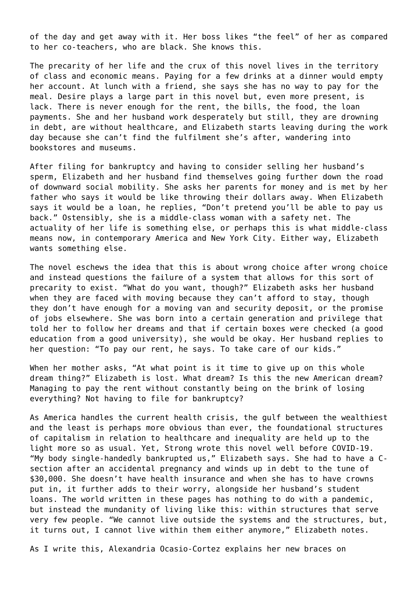of the day and get away with it. Her boss likes "the feel" of her as compared to her co-teachers, who are black. She knows this.

The precarity of her life and the crux of this novel lives in the territory of class and economic means. Paying for a few drinks at a dinner would empty her account. At lunch with a friend, she says she has no way to pay for the meal. Desire plays a large part in this novel but, even more present, is lack. There is never enough for the rent, the bills, the food, the loan payments. She and her husband work desperately but still, they are drowning in debt, are without healthcare, and Elizabeth starts leaving during the work day because she can't find the fulfilment she's after, wandering into bookstores and museums.

After filing for bankruptcy and having to consider selling her husband's sperm, Elizabeth and her husband find themselves going further down the road of downward social mobility. She asks her parents for money and is met by her father who says it would be like throwing their dollars away. When Elizabeth says it would be a loan, he replies, "Don't pretend you'll be able to pay us back." Ostensibly, she is a middle-class woman with a safety net. The actuality of her life is something else, or perhaps this is what middle-class means now, in contemporary America and New York City. Either way, Elizabeth wants something else.

The novel eschews the idea that this is about wrong choice after wrong choice and instead questions the failure of a system that allows for this sort of precarity to exist. "What do you want, though?" Elizabeth asks her husband when they are faced with moving because they can't afford to stay, though they don't have enough for a moving van and security deposit, or the promise of jobs elsewhere. She was born into a certain generation and privilege that told her to follow her dreams and that if certain boxes were checked (a good education from a good university), she would be okay. Her husband replies to her question: "To pay our rent, he says. To take care of our kids."

When her mother asks, "At what point is it time to give up on this whole dream thing?" Elizabeth is lost. What dream? Is this the new American dream? Managing to pay the rent without constantly being on the brink of losing everything? Not having to file for bankruptcy?

As America handles the current health crisis, the gulf between the wealthiest and the least is perhaps more obvious than ever, the foundational structures of capitalism in relation to healthcare and inequality are held up to the light more so as usual. Yet, Strong wrote this novel well before COVID-19. "My body single-handedly bankrupted us," Elizabeth says. She had to have a Csection after an accidental pregnancy and winds up in debt to the tune of \$30,000. She doesn't have health insurance and when she has to have crowns put in, it further adds to their worry, alongside her husband's student loans. The world written in these pages has nothing to do with a pandemic, but instead the mundanity of living like this: within structures that serve very few people. "We cannot live outside the systems and the structures, but, it turns out, I cannot live within them either anymore," Elizabeth notes.

As I write this, Alexandria Ocasio-Cortez explains her new braces on